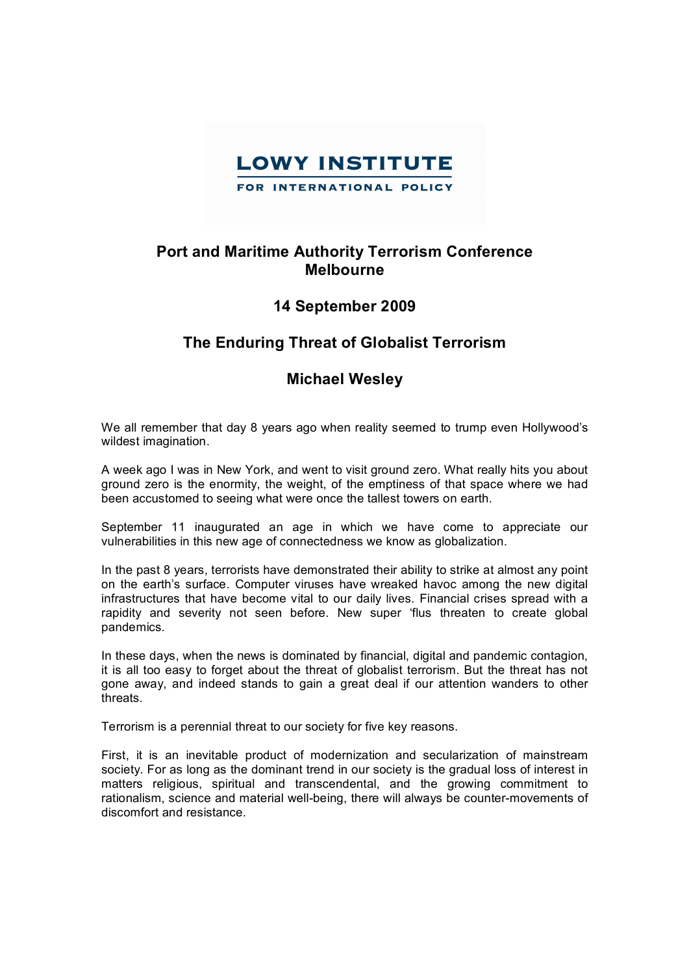

## **Port and Maritime Authority Terrorism Conference Melbourne**

## **14 September 2009**

## **The Enduring Threat of Globalist Terrorism**

## **Michael Wesley**

We all remember that day 8 years ago when reality seemed to trump even Hollywood's wildest imagination.

A week ago I was in New York, and went to visit ground zero. What really hits you about ground zero is the enormity, the weight, of the emptiness of that space where we had been accustomed to seeing what were once the tallest towers on earth.

September 11 inaugurated an age in which we have come to appreciate our vulnerabilities in this new age of connectedness we know as globalization.

In the past 8 years, terrorists have demonstrated their ability to strike at almost any point on the earth's surface. Computer viruses have wreaked havoc among the new digital infrastructures that have become vital to our daily lives. Financial crises spread with a rapidity and severity not seen before. New super 'flus threaten to create global pandemics.

In these days, when the news is dominated by financial, digital and pandemic contagion, it is all too easy to forget about the threat of globalist terrorism. But the threat has not gone away, and indeed stands to gain a great deal if our attention wanders to other threats.

Terrorism is a perennial threat to our society for five key reasons.

First, it is an inevitable product of modernization and secularization of mainstream society. For as long as the dominant trend in our society is the gradual loss of interest in matters religious, spiritual and transcendental, and the growing commitment to rationalism, science and material well-being, there will always be counter-movements of discomfort and resistance.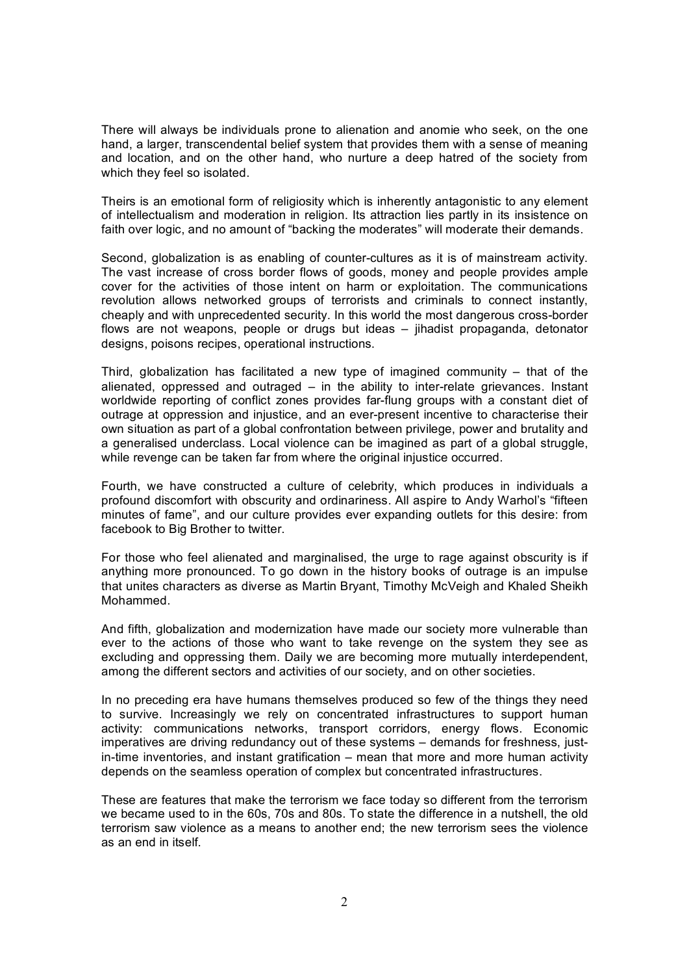There will always be individuals prone to alienation and anomie who seek, on the one hand, a larger, transcendental belief system that provides them with a sense of meaning and location, and on the other hand, who nurture a deep hatred of the society from which they feel so isolated.

Theirs is an emotional form of religiosity which is inherently antagonistic to any element of intellectualism and moderation in religion. Its attraction lies partly in its insistence on faith over logic, and no amount of "backing the moderates" will moderate their demands.

Second, globalization is as enabling of counter-cultures as it is of mainstream activity. The vast increase of cross border flows of goods, money and people provides ample cover for the activities of those intent on harm or exploitation. The communications revolution allows networked groups of terrorists and criminals to connect instantly, cheaply and with unprecedented security. In this world the most dangerous cross-border flows are not weapons, people or drugs but ideas – jihadist propaganda, detonator designs, poisons recipes, operational instructions.

Third, globalization has facilitated a new type of imagined community  $-$  that of the alienated, oppressed and outraged – in the ability to interrelate grievances. Instant worldwide reporting of conflict zones provides far-flung groups with a constant diet of outrage at oppression and injustice, and an ever-present incentive to characterise their own situation as part of a global confrontation between privilege, power and brutality and a generalised underclass. Local violence can be imagined as part of a global struggle, while revenge can be taken far from where the original injustice occurred.

Fourth, we have constructed a culture of celebrity, which produces in individuals a profound discomfort with obscurity and ordinariness. All aspire to Andy Warhol's "fifteen minutes of fame", and our culture provides ever expanding outlets for this desire: from facebook to Big Brother to twitter.

For those who feel alienated and marginalised, the urge to rage against obscurity is if anything more pronounced. To go down in the history books of outrage is an impulse that unites characters as diverse as Martin Bryant, Timothy McVeigh and Khaled Sheikh Mohammed.

And fifth, globalization and modernization have made our society more vulnerable than ever to the actions of those who want to take revenge on the system they see as excluding and oppressing them. Daily we are becoming more mutually interdependent, among the different sectors and activities of our society, and on other societies.

In no preceding era have humans themselves produced so few of the things they need to survive. Increasingly we rely on concentrated infrastructures to support human activity: communications networks, transport corridors, energy flows. Economic imperatives are driving redundancy out of these systems – demands for freshness, just  $in-time$  inventories, and instant gratification – mean that more and more human activity depends on the seamless operation of complex but concentrated infrastructures.

These are features that make the terrorism we face today so different from the terrorism we became used to in the 60s, 70s and 80s. To state the difference in a nutshell, the old terrorism saw violence as a means to another end; the new terrorism sees the violence as an end in itself.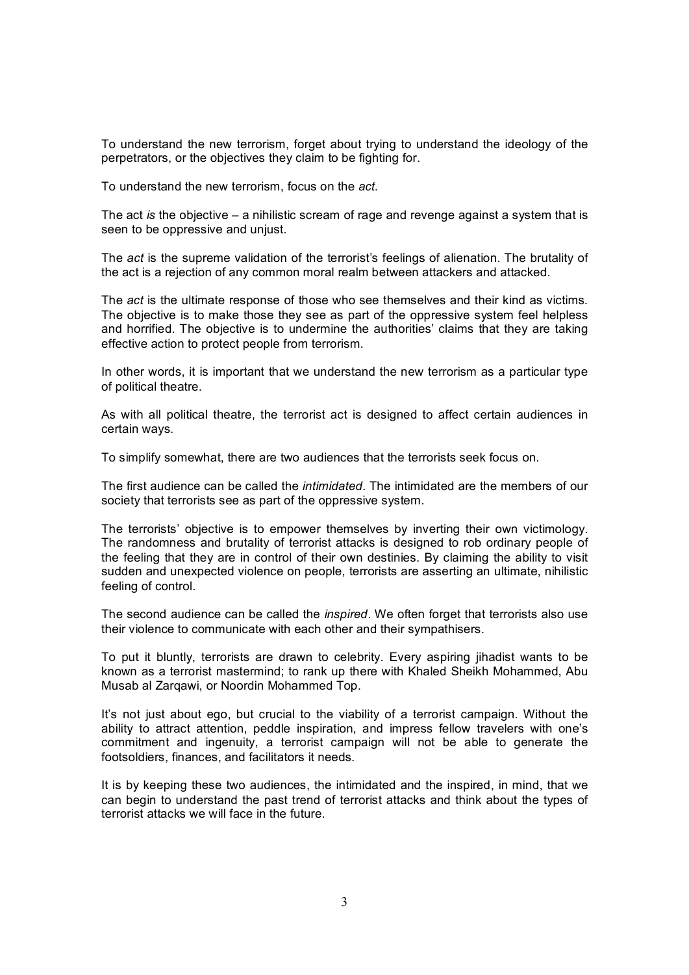To understand the new terrorism, forget about trying to understand the ideology of the perpetrators, or the objectives they claim to be fighting for.

To understand the new terrorism, focus on the *act*.

The act *is* the objective – a nihilistic scream of rage and revenge against a system that is seen to be oppressive and unjust.

The *act* is the supreme validation of the terrorist's feelings of alienation. The brutality of the act is a rejection of any common moral realm between attackers and attacked.

The *act* is the ultimate response of those who see themselves and their kind as victims. The objective is to make those they see as part of the oppressive system feel helpless and horrified. The objective is to undermine the authorities' claims that they are taking effective action to protect people from terrorism.

In other words, it is important that we understand the new terrorism as a particular type of political theatre.

As with all political theatre, the terrorist act is designed to affect certain audiences in certain ways.

To simplify somewhat, there are two audiences that the terrorists seek focus on.

The first audience can be called the *intimidated*. The intimidated are the members of our society that terrorists see as part of the oppressive system.

The terrorists' objective is to empower themselves by inverting their own victimology. The randomness and brutality of terrorist attacks is designed to rob ordinary people of the feeling that they are in control of their own destinies. By claiming the ability to visit sudden and unexpected violence on people, terrorists are asserting an ultimate, nihilistic feeling of control.

The second audience can be called the *inspired*. We often forget that terrorists also use their violence to communicate with each other and their sympathisers.

To put it bluntly, terrorists are drawn to celebrity. Every aspiring jihadist wants to be known as a terrorist mastermind; to rank up there with Khaled Sheikh Mohammed, Abu Musab al Zarqawi, or Noordin Mohammed Top.

It's not just about ego, but crucial to the viability of a terrorist campaign. Without the ability to attract attention, peddle inspiration, and impress fellow travelers with one's commitment and ingenuity, a terrorist campaign will not be able to generate the footsoldiers, finances, and facilitators it needs.

It is by keeping these two audiences, the intimidated and the inspired, in mind, that we can begin to understand the past trend of terrorist attacks and think about the types of terrorist attacks we will face in the future.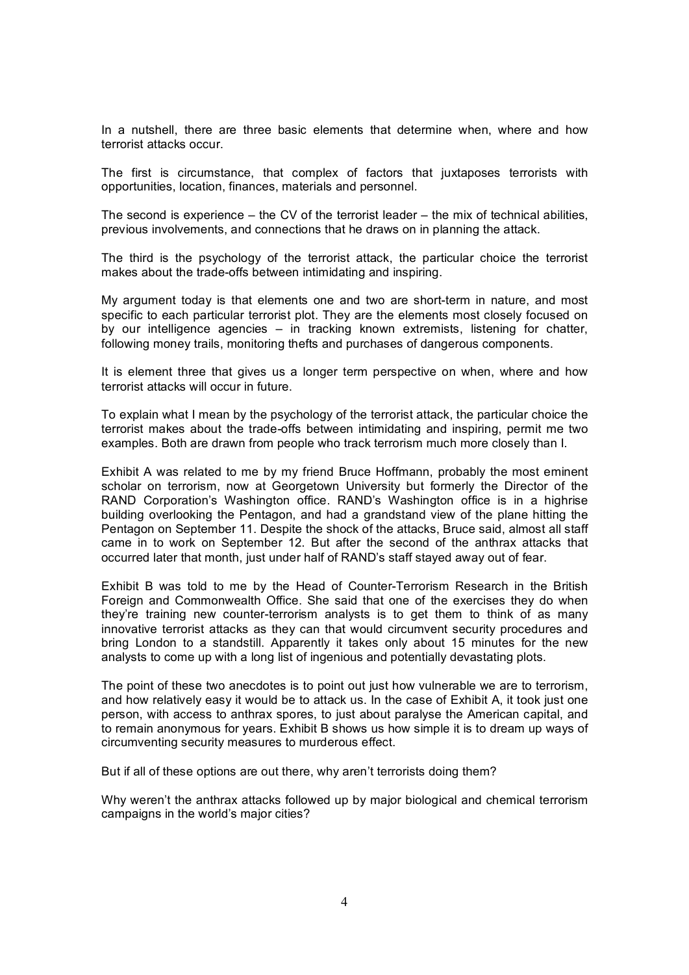In a nutshell, there are three basic elements that determine when, where and how terrorist attacks occur.

The first is circumstance, that complex of factors that juxtaposes terrorists with opportunities, location, finances, materials and personnel.

The second is experience – the CV of the terrorist leader – the mix of technical abilities, previous involvements, and connections that he draws on in planning the attack.

The third is the psychology of the terrorist attack, the particular choice the terrorist makes about the trade-offs between intimidating and inspiring.

My argument today is that elements one and two are short-term in nature, and most specific to each particular terrorist plot. They are the elements most closely focused on by our intelligence agencies – in tracking known extremists, listening for chatter, following money trails, monitoring thefts and purchases of dangerous components.

It is element three that gives us a longer term perspective on when, where and how terrorist attacks will occur in future.

To explain what I mean by the psychology of the terrorist attack, the particular choice the terrorist makes about the trade-offs between intimidating and inspiring, permit me two examples. Both are drawn from people who track terrorism much more closely than I.

Exhibit A was related to me by my friend Bruce Hoffmann, probably the most eminent scholar on terrorism, now at Georgetown University but formerly the Director of the RAND Corporation's Washington office. RAND's Washington office is in a highrise building overlooking the Pentagon, and had a grandstand view of the plane hitting the Pentagon on September 11. Despite the shock of the attacks, Bruce said, almost all staff came in to work on September 12. But after the second of the anthrax attacks that occurred later that month, just under half of RAND's staff stayed away out of fear.

Exhibit B was told to me by the Head of Counter-Terrorism Research in the British Foreign and Commonwealth Office. She said that one of the exercises they do when they're training new counter-terrorism analysts is to get them to think of as many innovative terrorist attacks as they can that would circumvent security procedures and bring London to a standstill. Apparently it takes only about 15 minutes for the new analysts to come up with a long list of ingenious and potentially devastating plots.

The point of these two anecdotes is to point out just how vulnerable we are to terrorism, and how relatively easy it would be to attack us. In the case of Exhibit A, it took just one person, with access to anthrax spores, to just about paralyse the American capital, and to remain anonymous for years. Exhibit B shows us how simple it is to dream up ways of circumventing security measures to murderous effect.

But if all of these options are out there, why aren't terrorists doing them?

Why weren't the anthrax attacks followed up by major biological and chemical terrorism campaigns in the world's major cities?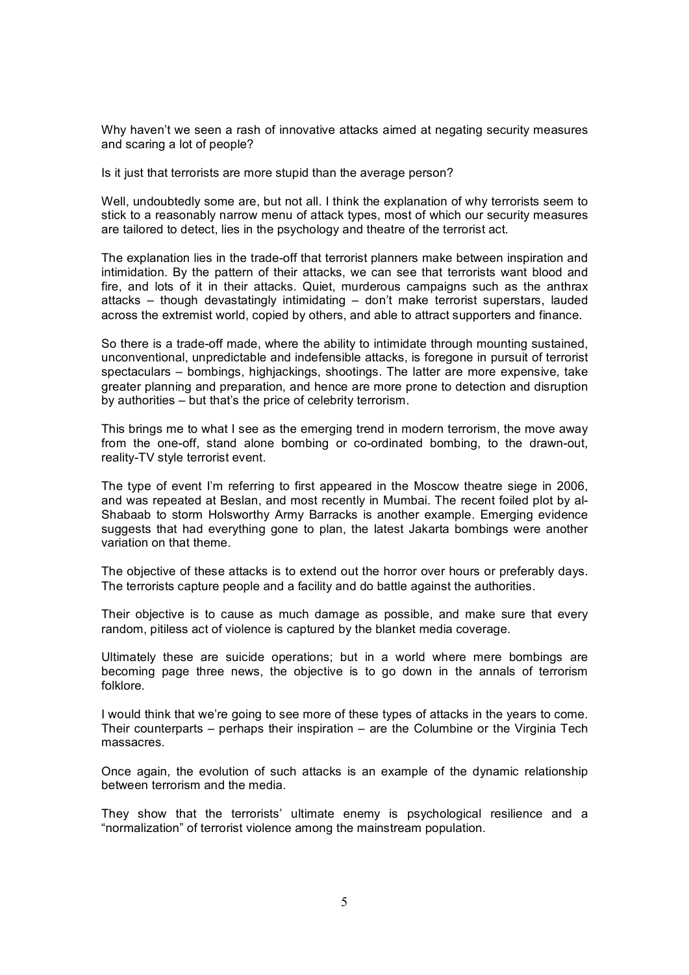Why haven't we seen a rash of innovative attacks aimed at negating security measures and scaring a lot of people?

Is it just that terrorists are more stupid than the average person?

Well, undoubtedly some are, but not all. I think the explanation of why terrorists seem to stick to a reasonably narrow menu of attack types, most of which our security measures are tailored to detect, lies in the psychology and theatre of the terrorist act.

The explanation lies in the trade-off that terrorist planners make between inspiration and intimidation. By the pattern of their attacks, we can see that terrorists want blood and fire, and lots of it in their attacks. Quiet, murderous campaigns such as the anthrax attacks – though devastatingly intimidating – don't make terrorist superstars, lauded across the extremist world, copied by others, and able to attract supporters and finance.

So there is a trade-off made, where the ability to intimidate through mounting sustained, unconventional, unpredictable and indefensible attacks, is foregone in pursuit of terrorist spectaculars – bombings, highjackings, shootings. The latter are more expensive, take greater planning and preparation, and hence are more prone to detection and disruption by authorities – but that's the price of celebrity terrorism.

This brings me to what I see as the emerging trend in modern terrorism, the move away from the one-off, stand alone bombing or co-ordinated bombing, to the drawn-out, reality-TV style terrorist event.

The type of event I'm referring to first appeared in the Moscow theatre siege in 2006, and was repeated at Beslan, and most recently in Mumbai. The recent foiled plot by al Shabaab to storm Holsworthy Army Barracks is another example. Emerging evidence suggests that had everything gone to plan, the latest Jakarta bombings were another variation on that theme.

The objective of these attacks is to extend out the horror over hours or preferably days. The terrorists capture people and a facility and do battle against the authorities.

Their objective is to cause as much damage as possible, and make sure that every random, pitiless act of violence is captured by the blanket media coverage.

Ultimately these are suicide operations; but in a world where mere bombings are becoming page three news, the objective is to go down in the annals of terrorism folklore.

I would think that we're going to see more of these types of attacks in the years to come. Their counterparts – perhaps their inspiration – are the Columbine or the Virginia Tech massacres.

Once again, the evolution of such attacks is an example of the dynamic relationship between terrorism and the media.

They show that the terrorists' ultimate enemy is psychological resilience and a "normalization" of terrorist violence among the mainstream population.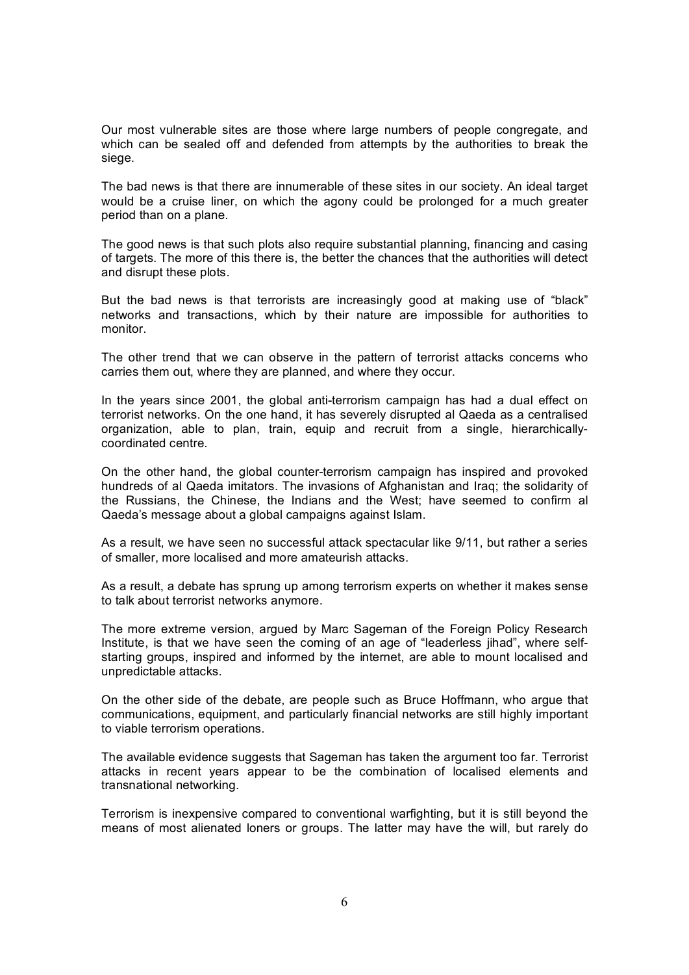Our most vulnerable sites are those where large numbers of people congregate, and which can be sealed off and defended from attempts by the authorities to break the siege.

The bad news is that there are innumerable of these sites in our society. An ideal target would be a cruise liner, on which the agony could be prolonged for a much greater period than on a plane.

The good news is that such plots also require substantial planning, financing and casing of targets. The more of this there is, the better the chances that the authorities will detect and disrupt these plots.

But the bad news is that terrorists are increasingly good at making use of "black" networks and transactions, which by their nature are impossible for authorities to monitor.

The other trend that we can observe in the pattern of terrorist attacks concerns who carries them out, where they are planned, and where they occur.

In the years since 2001, the global anti-terrorism campaign has had a dual effect on terrorist networks. On the one hand, it has severely disrupted al Qaeda as a centralised organization, able to plan, train, equip and recruit from a single, hierarchically coordinated centre.

On the other hand, the global counterterrorism campaign has inspired and provoked hundreds of al Qaeda imitators. The invasions of Afghanistan and Iraq; the solidarity of the Russians, the Chinese, the Indians and the West; have seemed to confirm al Qaeda's message about a global campaigns against Islam.

As a result, we have seen no successful attack spectacular like 9/11, but rather a series of smaller, more localised and more amateurish attacks.

As a result, a debate has sprung up among terrorism experts on whether it makes sense to talk about terrorist networks anymore.

The more extreme version, argued by Marc Sageman of the Foreign Policy Research Institute, is that we have seen the coming of an age of "leaderless jihad", where selfstarting groups, inspired and informed by the internet, are able to mount localised and unpredictable attacks.

On the other side of the debate, are people such as Bruce Hoffmann, who argue that communications, equipment, and particularly financial networks are still highly important to viable terrorism operations.

The available evidence suggests that Sageman has taken the argument too far. Terrorist attacks in recent years appear to be the combination of localised elements and transnational networking.

Terrorism is inexpensive compared to conventional warfighting, but it is still beyond the means of most alienated loners or groups. The latter may have the will, but rarely do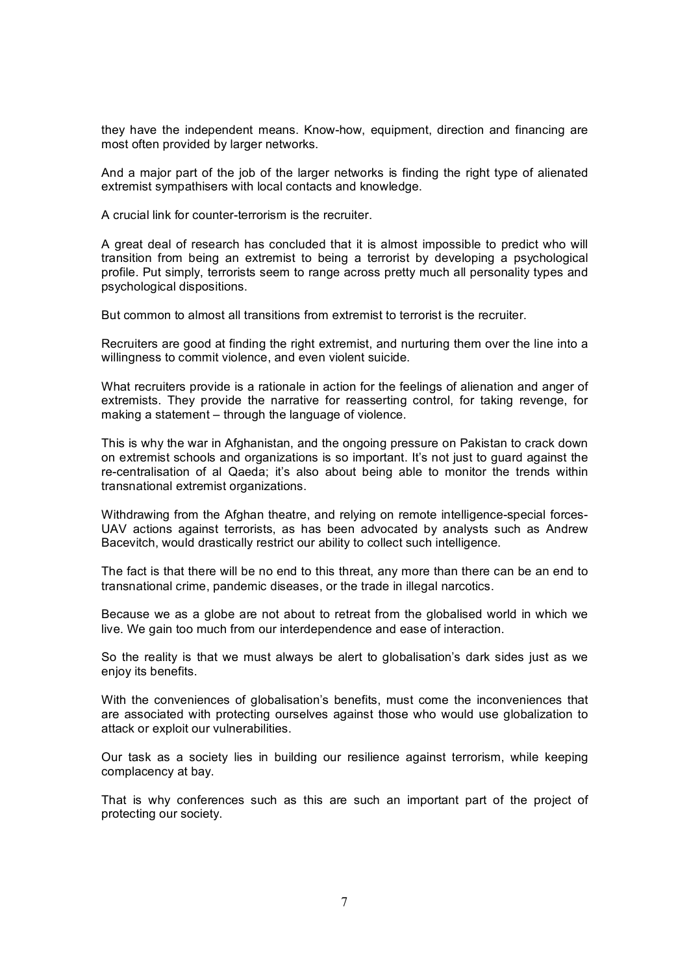they have the independent means. Know-how, equipment, direction and financing are most often provided by larger networks.

And a major part of the job of the larger networks is finding the right type of alienated extremist sympathisers with local contacts and knowledge.

A crucial link for counter-terrorism is the recruiter.

A great deal of research has concluded that it is almost impossible to predict who will transition from being an extremist to being a terrorist by developing a psychological profile. Put simply, terrorists seem to range across pretty much all personality types and psychological dispositions.

But common to almost all transitions from extremist to terrorist is the recruiter.

Recruiters are good at finding the right extremist, and nurturing them over the line into a willingness to commit violence, and even violent suicide.

What recruiters provide is a rationale in action for the feelings of alienation and anger of extremists. They provide the narrative for reasserting control, for taking revenge, for making a statement – through the language of violence.

This is why the war in Afghanistan, and the ongoing pressure on Pakistan to crack down on extremist schools and organizations is so important. It's not just to guard against the re-centralisation of al Qaeda; it's also about being able to monitor the trends within transnational extremist organizations.

Withdrawing from the Afghan theatre, and relying on remote intelligence-special forces-UAV actions against terrorists, as has been advocated by analysts such as Andrew Bacevitch, would drastically restrict our ability to collect such intelligence.

The fact is that there will be no end to this threat, any more than there can be an end to transnational crime, pandemic diseases, or the trade in illegal narcotics.

Because we as a globe are not about to retreat from the globalised world in which we live. We gain too much from our interdependence and ease of interaction.

So the reality is that we must always be alert to globalisation's dark sides just as we enjoy its benefits.

With the conveniences of globalisation's benefits, must come the inconveniences that are associated with protecting ourselves against those who would use globalization to attack or exploit our vulnerabilities.

Our task as a society lies in building our resilience against terrorism, while keeping complacency at bay.

That is why conferences such as this are such an important part of the project of protecting our society.